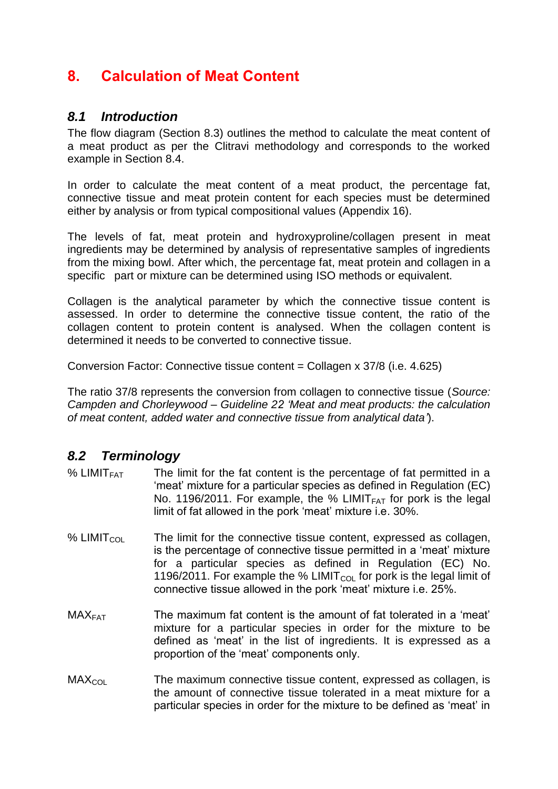# **8. Calculation of Meat Content**

# *8.1 Introduction*

The flow diagram (Section 8.3) outlines the method to calculate the meat content of a meat product as per the Clitravi methodology and corresponds to the worked example in Section 8.4.

In order to calculate the meat content of a meat product, the percentage fat, connective tissue and meat protein content for each species must be determined either by analysis or from typical compositional values (Appendix 16).

The levels of fat, meat protein and hydroxyproline/collagen present in meat ingredients may be determined by analysis of representative samples of ingredients from the mixing bowl. After which, the percentage fat, meat protein and collagen in a specific part or mixture can be determined using ISO methods or equivalent.

Collagen is the analytical parameter by which the connective tissue content is assessed. In order to determine the connective tissue content, the ratio of the collagen content to protein content is analysed. When the collagen content is determined it needs to be converted to connective tissue.

Conversion Factor: Connective tissue content = Collagen x 37/8 (i.e. 4.625)

The ratio 37/8 represents the conversion from collagen to connective tissue (*Source: Campden and Chorleywood – Guideline 22 'Meat and meat products: the calculation of meat content, added water and connective tissue from analytical data'*).

# *8.2 Terminology*

- % LIMIT<sub>FAT</sub> The limit for the fat content is the percentage of fat permitted in a 'meat' mixture for a particular species as defined in Regulation (EC) No. 1196/2011. For example, the % LIMIT<sub>FAT</sub> for pork is the legal limit of fat allowed in the pork 'meat' mixture i.e. 30%.
- % LIMIT<sub>COL</sub> The limit for the connective tissue content, expressed as collagen, is the percentage of connective tissue permitted in a 'meat' mixture for a particular species as defined in Regulation (EC) No. 1196/2011. For example the % LIMIT<sub>COL</sub> for pork is the legal limit of connective tissue allowed in the pork 'meat' mixture i.e. 25%.
- $\text{MAX}_{\text{FAT}}$  The maximum fat content is the amount of fat tolerated in a 'meat' mixture for a particular species in order for the mixture to be defined as 'meat' in the list of ingredients. It is expressed as a proportion of the 'meat' components only.
- $MAX<sub>COI</sub>$  The maximum connective tissue content, expressed as collagen, is the amount of connective tissue tolerated in a meat mixture for a particular species in order for the mixture to be defined as 'meat' in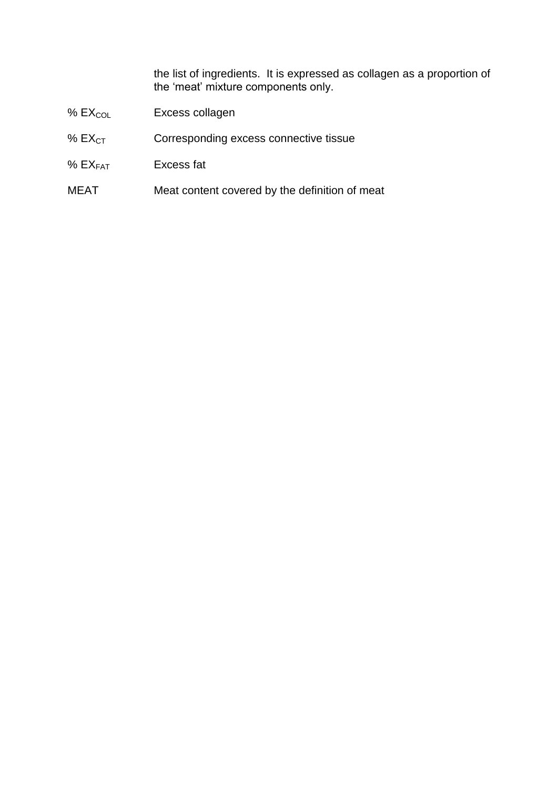the list of ingredients. It is expressed as collagen as a proportion of the 'meat' mixture components only.

- %  $EX_{COL}$  Excess collagen
- %  $EX_{CT}$  Corresponding excess connective tissue
- % EXFAT Excess fat
- MEAT Meat content covered by the definition of meat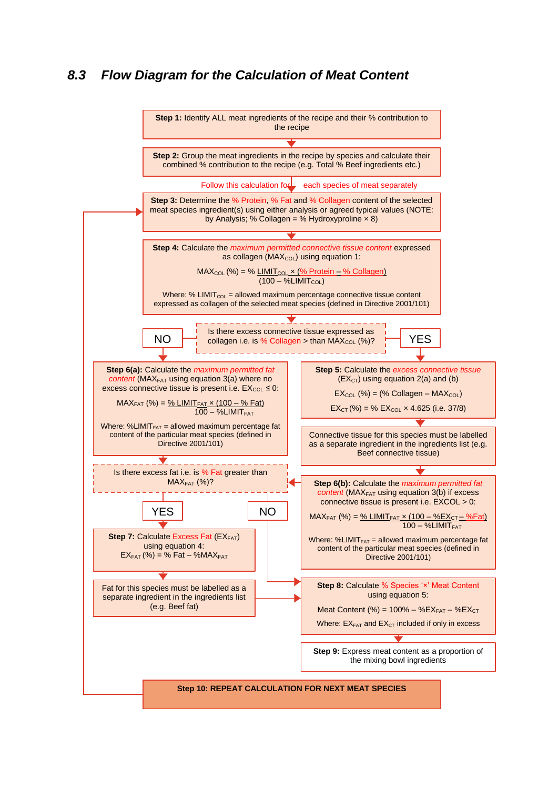# *8.3 Flow Diagram for the Calculation of Meat Content*

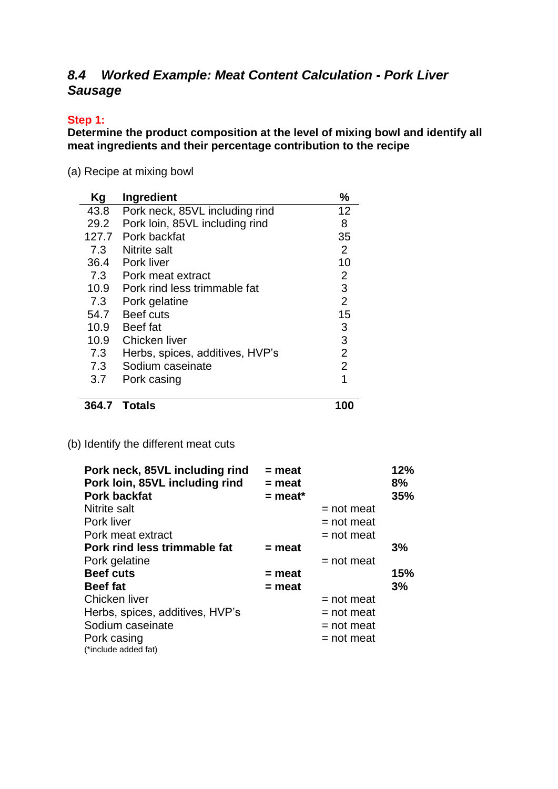# *8.4 Worked Example: Meat Content Calculation - Pork Liver Sausage*

# **Step 1:**

**Determine the product composition at the level of mixing bowl and identify all meat ingredients and their percentage contribution to the recipe**

(a) Recipe at mixing bowl

| Κg    | Ingredient                      | %              |
|-------|---------------------------------|----------------|
| 43.8  | Pork neck, 85VL including rind  | 12             |
| 29.2  | Pork loin, 85VL including rind  | 8              |
| 127.7 | Pork backfat                    | 35             |
| 7.3   | Nitrite salt                    | $\overline{2}$ |
| 36.4  | Pork liver                      | 10             |
| 7.3   | Pork meat extract               | $\overline{2}$ |
| 10.9  | Pork rind less trimmable fat    | 3              |
| 7.3   | Pork gelatine                   | $\overline{2}$ |
| 54.7  | Beef cuts                       | 15             |
| 10.9  | Beef fat                        | 3              |
| 10.9  | Chicken liver                   | 3              |
| 7.3   | Herbs, spices, additives, HVP's | $\overline{2}$ |
| 7.3   | Sodium caseinate                | $\overline{2}$ |
| 3.7   | Pork casing                     | 1              |
|       |                                 |                |

**364.7 Totals 100**

(b) Identify the different meat cuts

| Pork neck, 85VL including rind  | $=$ meat  |              | 12% |
|---------------------------------|-----------|--------------|-----|
| Pork loin, 85VL including rind  | $=$ meat  |              | 8%  |
| <b>Pork backfat</b>             | $=$ meat* |              | 35% |
| Nitrite salt                    |           | $=$ not meat |     |
| Pork liver                      |           | $=$ not meat |     |
| Pork meat extract               |           | $=$ not meat |     |
| Pork rind less trimmable fat    | $=$ meat  |              | 3%  |
| Pork gelatine                   |           | $=$ not meat |     |
| <b>Beef cuts</b>                | $=$ meat  |              | 15% |
| <b>Beef fat</b>                 | $=$ meat  |              | 3%  |
| Chicken liver                   |           | $=$ not meat |     |
| Herbs, spices, additives, HVP's |           | $=$ not meat |     |
| Sodium caseinate                |           | $=$ not meat |     |
| Pork casing                     |           | $=$ not meat |     |
| (*include added fat)            |           |              |     |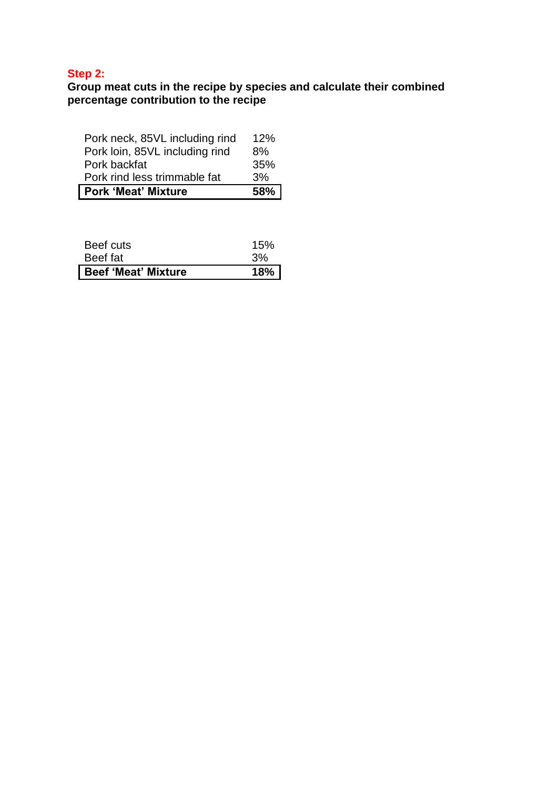# **Step 2:**

### **Group meat cuts in the recipe by species and calculate their combined percentage contribution to the recipe**

| Pork neck, 85VL including rind | 12% |
|--------------------------------|-----|
| Pork loin, 85VL including rind | 8%  |
| Pork backfat                   | 35% |
| Pork rind less trimmable fat   | 3%  |
| Pork 'Meat' Mixture            | 58% |

| Beef cuts                  | 15% |
|----------------------------|-----|
| Beef fat                   | 3%  |
| <b>Beef 'Meat' Mixture</b> | 18% |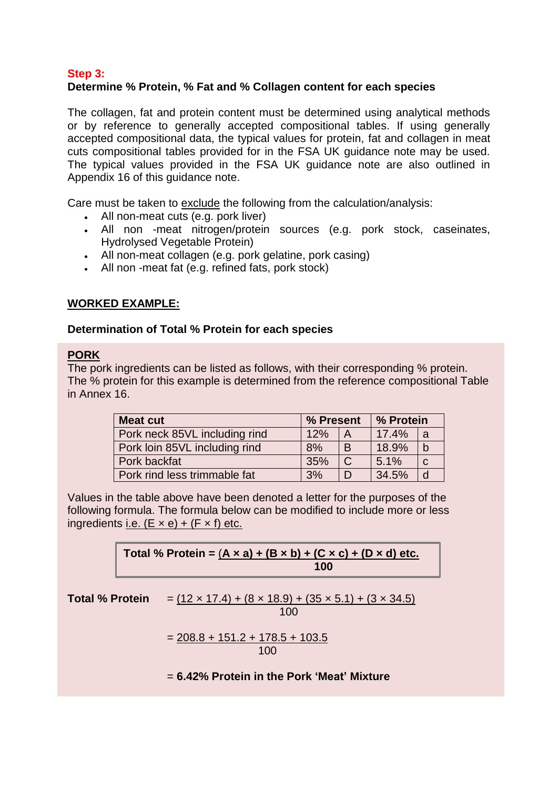# **Step 3: Determine % Protein, % Fat and % Collagen content for each species**

The collagen, fat and protein content must be determined using analytical methods or by reference to generally accepted compositional tables. If using generally accepted compositional data, the typical values for protein, fat and collagen in meat cuts compositional tables provided for in the FSA UK guidance note may be used. The typical values provided in the FSA UK guidance note are also outlined in Appendix 16 of this guidance note.

Care must be taken to exclude the following from the calculation/analysis:

- All non-meat cuts (e.g. pork liver)
- All non -meat nitrogen/protein sources (e.g. pork stock, caseinates, Hydrolysed Vegetable Protein)
- All non-meat collagen (e.g. pork gelatine, pork casing)
- All non -meat fat (e.g. refined fats, pork stock)

# **WORKED EXAMPLE:**

## **Determination of Total % Protein for each species**

## **PORK**

The pork ingredients can be listed as follows, with their corresponding % protein. The % protein for this example is determined from the reference compositional Table in Annex 16.

| <b>Meat cut</b>               | % Present |                | % Protein |              |
|-------------------------------|-----------|----------------|-----------|--------------|
| Pork neck 85VL including rind | 12%       | $\overline{A}$ | 17.4%     | l a          |
| Pork loin 85VL including rind | 8%        | B              | 18.9%     | $\mathsf{b}$ |
| Pork backfat                  | 35%       |                | 5.1%      | C            |
| Pork rind less trimmable fat  | 3%        |                | 34.5%     | d            |

Values in the table above have been denoted a letter for the purposes of the following formula. The formula below can be modified to include more or less ingredients i.e.  $(E \times e) + (F \times f)$  etc.

Total % Protein =  $(A \times a) + (B \times b) + (C \times c) + (D \times d)$  etc.  **100**

| <b>Total % Protein</b> | $= (12 \times 17.4) + (8 \times 18.9) + (35 \times 5.1) + (3 \times 34.5)$ |
|------------------------|----------------------------------------------------------------------------|
|                        | 100                                                                        |

$$
= \frac{208.8 + 151.2 + 178.5 + 103.5}{100}
$$

= **6.42% Protein in the Pork 'Meat' Mixture**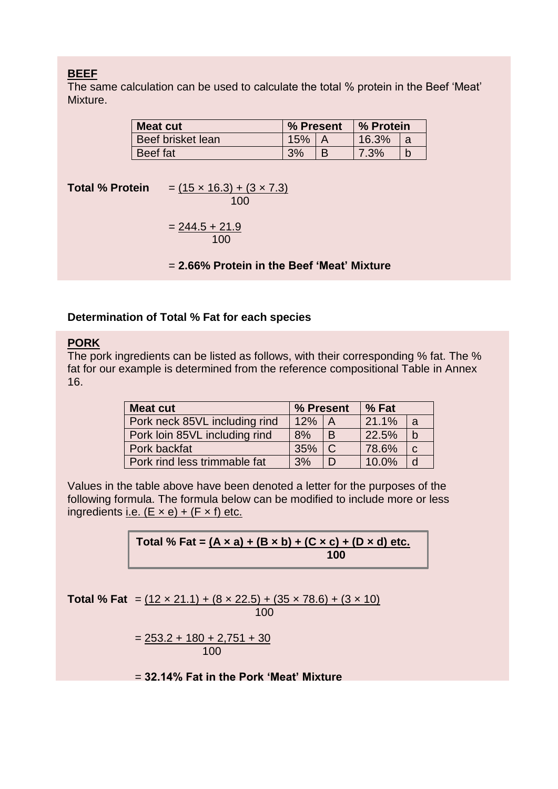The same calculation can be used to calculate the total % protein in the Beef 'Meat' Mixture.

| <b>Meat cut</b>   | % Present |  | ∣% Protein |  |
|-------------------|-----------|--|------------|--|
| Beef brisket lean | 15%       |  | 16.3%      |  |
| <b>Beef</b> fat   | 20/       |  | 7.3%       |  |

**Total % Protein**  $=$   $(15 \times 16.3) + (3 \times 7.3)$  100  $= 244.5 + 21.9$ 100

= **2.66% Protein in the Beef 'Meat' Mixture**

## **Determination of Total % Fat for each species**

# **PORK**

The pork ingredients can be listed as follows, with their corresponding % fat. The % fat for our example is determined from the reference compositional Table in Annex 16.

| <b>Meat cut</b>               | % Present<br>% Fat |               |       |              |
|-------------------------------|--------------------|---------------|-------|--------------|
| Pork neck 85VL including rind | 12%                | $\mathsf{A}$  | 21.1% | <sub>a</sub> |
| Pork loin 85VL including rind | 8%                 | B             | 22.5% | $\mathsf{b}$ |
| Pork backfat                  | 35%                | $\mathcal{C}$ | 78.6% | C            |
| Pork rind less trimmable fat  | 3%                 | D             | 10.0% | d            |

Values in the table above have been denoted a letter for the purposes of the following formula. The formula below can be modified to include more or less ingredients i.e.  $(E \times e) + (F \times f)$  etc.

> **Total % Fat = (A × a) + (B × b) + (C × c) + (D × d) etc. 100**

**Total % Fat** =  $(12 \times 21.1) + (8 \times 22.5) + (35 \times 78.6) + (3 \times 10)$ 100

$$
= \frac{253.2 + 180 + 2{751 + 30}}{100}
$$

= **32.14% Fat in the Pork 'Meat' Mixture**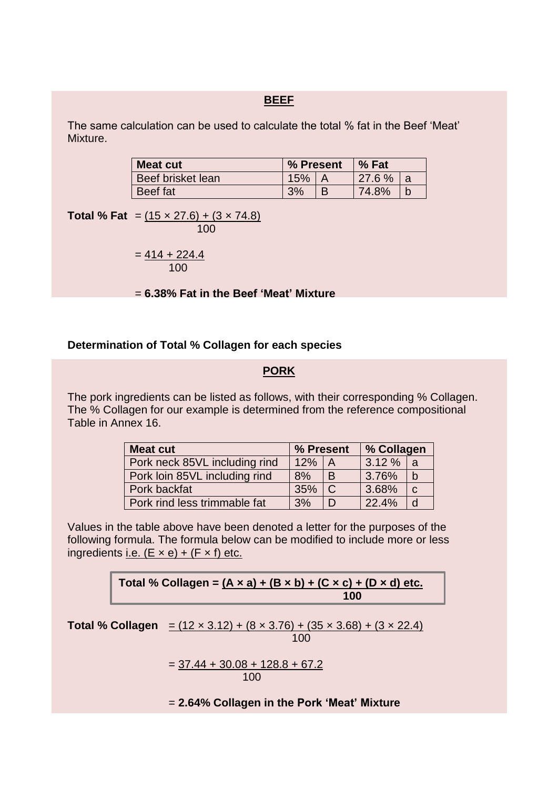The same calculation can be used to calculate the total % fat in the Beef 'Meat' Mixture.

| <b>Meat cut</b>          | % Present |  | % Fat  |   |
|--------------------------|-----------|--|--------|---|
| <b>Beef brisket lean</b> | 15%       |  | 27.6 % | a |
| Beef fat                 | 3%        |  | 74.8%  |   |

**Total % Fat** =  $(15 \times 27.6) + (3 \times 74.8)$ 100

> $= 414 + 224.4$ 100

= **6.38% Fat in the Beef 'Meat' Mixture**

#### **Determination of Total % Collagen for each species**

#### **PORK**

The pork ingredients can be listed as follows, with their corresponding % Collagen. The % Collagen for our example is determined from the reference compositional Table in Annex 16.

| <b>Meat cut</b>               | % Present |              |       | % Collagen  |  |
|-------------------------------|-----------|--------------|-------|-------------|--|
| Pork neck 85VL including rind | 12%       | $\mathsf{A}$ | 3.12% | l a         |  |
| Pork loin 85VL including rind | 8%        | B            | 3.76% | $\mathbf b$ |  |
| Pork backfat                  | 35%       | <sub>C</sub> | 3.68% | $\mathbf C$ |  |
| Pork rind less trimmable fat  | 3%        | D            | 22.4% | d           |  |

Values in the table above have been denoted a letter for the purposes of the following formula. The formula below can be modified to include more or less ingredients i.e.  $(E \times e) + (F \times f)$  etc.

> Total % Collagen =  $(A \times a) + (B \times b) + (C \times c) + (D \times d)$  etc.  **100**

**Total % Collagen** =  $(12 \times 3.12) + (8 \times 3.76) + (35 \times 3.68) + (3 \times 22.4)$ 100

> $=$  37.44 + 30.08 + 128.8 + 67.2 100

= **2.64% Collagen in the Pork 'Meat' Mixture**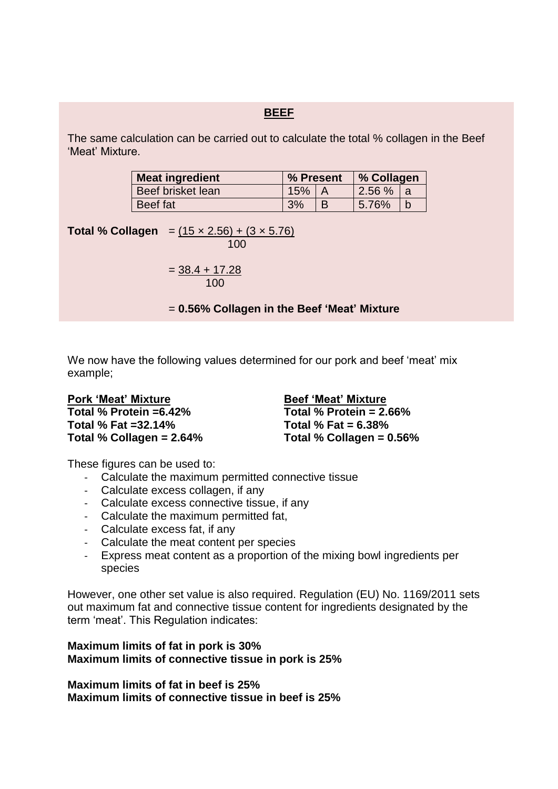The same calculation can be carried out to calculate the total % collagen in the Beef 'Meat' Mixture.

| Meat ingredient   | % Present |  |       | % Collagen |  |
|-------------------|-----------|--|-------|------------|--|
| Beef brisket lean | 15%       |  | 2.56% | a          |  |
| Beef fat          | 3%        |  | 5.76% |            |  |

**Total % Collagen** =  $(15 \times 2.56) + (3 \times 5.76)$ 100

$$
=\frac{38.4+17.28}{100}
$$

= **0.56% Collagen in the Beef 'Meat' Mixture**

We now have the following values determined for our pork and beef 'meat' mix example;

**Pork 'Meat' Mixture Total % Protein =6.42% Total % Fat =32.14% Total % Collagen = 2.64%** 

**Beef 'Meat' Mixture Total % Protein = 2.66% Total % Fat = 6.38% Total % Collagen = 0.56%**

These figures can be used to:

- Calculate the maximum permitted connective tissue
- Calculate excess collagen, if any
- Calculate excess connective tissue, if any
- Calculate the maximum permitted fat,
- Calculate excess fat, if any
- Calculate the meat content per species
- Express meat content as a proportion of the mixing bowl ingredients per species

However, one other set value is also required. Regulation (EU) No. 1169/2011 sets out maximum fat and connective tissue content for ingredients designated by the term 'meat'. This Regulation indicates:

## **Maximum limits of fat in pork is 30% Maximum limits of connective tissue in pork is 25%**

**Maximum limits of fat in beef is 25% Maximum limits of connective tissue in beef is 25%**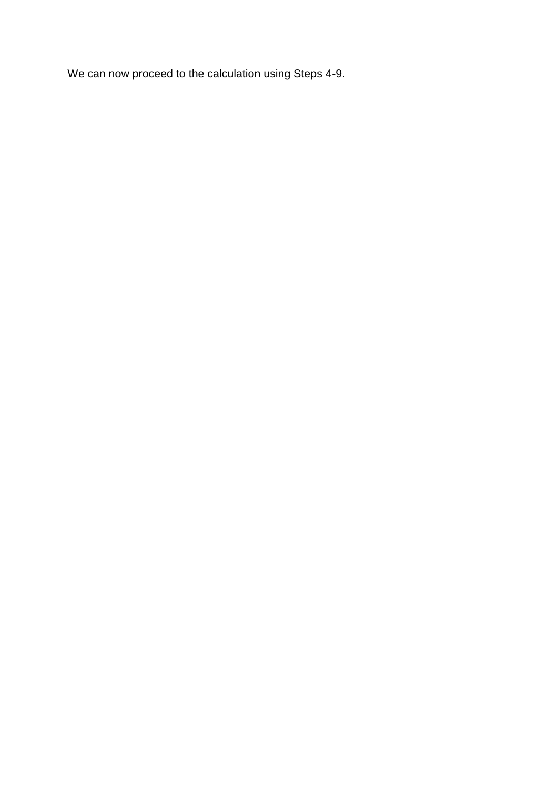We can now proceed to the calculation using Steps 4-9.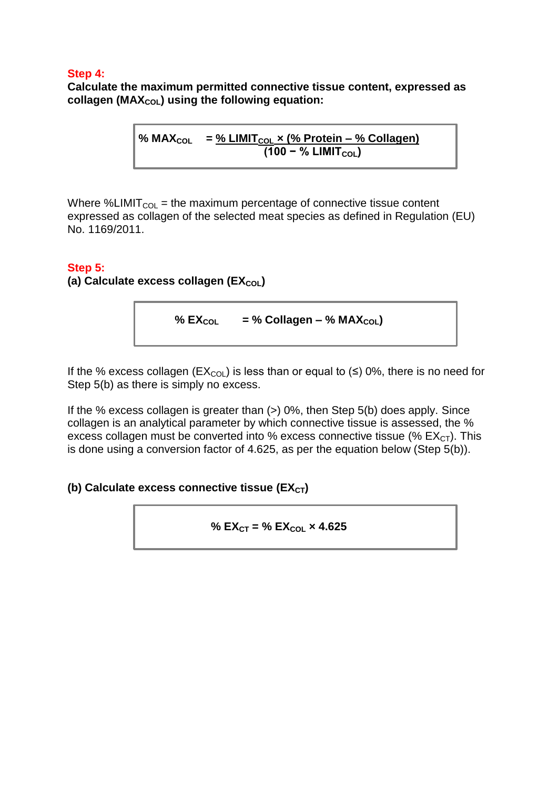# **Step 4:**

**Calculate the maximum permitted connective tissue content, expressed as collagen (MAXCOL) using the following equation:**

> **% MAXCOL = % LIMITCOL × (% Protein – % Collagen) (100 − % LIMIT**<sub>COL</sub>)

Where %LIMIT<sub>COL</sub> = the maximum percentage of connective tissue content expressed as collagen of the selected meat species as defined in Regulation (EU) No. 1169/2011.

## **Step 5:**

**(a) Calculate excess collagen (EX<sub>COL</sub>)** 

% 
$$
EX_{COL}
$$
 = % Collagen – % MAX<sub>COL</sub>)

If the % excess collagen ( $EX_{\text{COL}}$ ) is less than or equal to ( $\leq$ ) 0%, there is no need for Step 5(b) as there is simply no excess.

If the % excess collagen is greater than  $(>)$  0%, then Step 5(b) does apply. Since collagen is an analytical parameter by which connective tissue is assessed, the % excess collagen must be converted into % excess connective tissue (%  $EX_{CT}$ ). This is done using a conversion factor of 4.625, as per the equation below (Step 5(b)).

# **(b) Calculate excess connective tissue (EX<sub>CT</sub>)**

% 
$$
EX_{CT} = % EX_{COL} \times 4.625
$$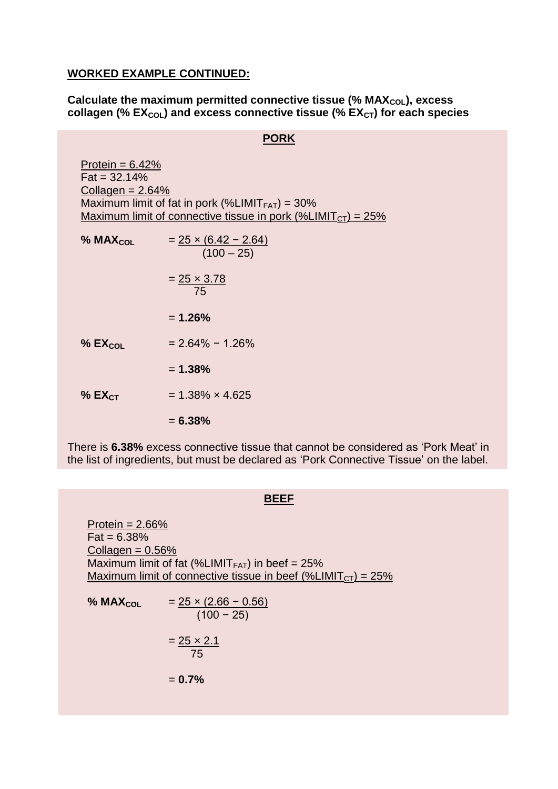#### **WORKED EXAMPLE CONTINUED:**

## **Calculate the maximum permitted connective tissue (% MAX<sub>COL</sub>), excess collagen (% EXCOL) and excess connective tissue (% EXCT) for each species**

# **PORK**

| Protein = $6.42\%$<br>$Pat = 32.14\%$<br>Collagen = $2.64\%$ | Maximum limit of fat in pork (%LIMIT $_{FAT}$ ) = 30%                         |
|--------------------------------------------------------------|-------------------------------------------------------------------------------|
|                                                              | <u>Maximum limit of connective tissue in pork (%LIMIT<sub>CT</sub>) = 25%</u> |
| % $MAX_{COL}$                                                | $= 25 \times (6.42 - 2.64)$<br>$(100 - 25)$                                   |
|                                                              | $= 25 \times 3.78$<br>75                                                      |
|                                                              | $= 1.26\%$                                                                    |
| % $EX_{COL}$                                                 | $= 2.64\% - 1.26\%$                                                           |
|                                                              | $= 1.38\%$                                                                    |
| $%$ EX <sub>CT</sub>                                         | $= 1.38\% \times 4.625$                                                       |
|                                                              | $= 6.38%$                                                                     |

There is **6.38%** excess connective tissue that cannot be considered as 'Pork Meat' in the list of ingredients, but must be declared as 'Pork Connective Tissue' on the label.

#### **BEEF**

Protein  $= 2.66\%$  $Fat = 6.38%$ Collagen  $= 0.56%$ Maximum limit of fat (%LIMIT $_{FAT}$ ) in beef = 25% Maximum limit of connective tissue in beef (%LIMIT<sub>CT</sub>) =  $25\%$ 

% MAX<sub>COL</sub> = 
$$
\frac{25 \times (2.66 - 0.56)}{(100 - 25)}
$$
  
=  $\frac{25 \times 2.1}{75}$   
= **0.7%**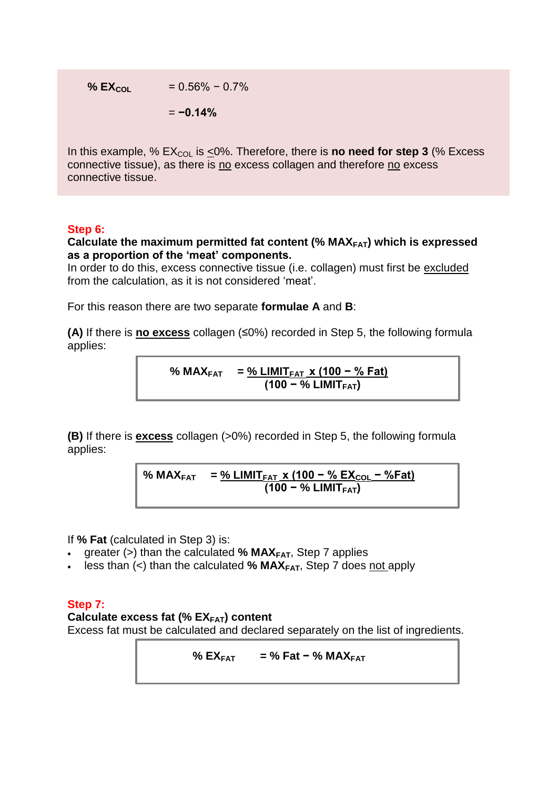% **EX<sub>COL</sub>** = 
$$
0.56\% - 0.7\%
$$

$$
=-0.14\%
$$

In this example, % EX<sub>COL</sub> is <0%. Therefore, there is **no need for step 3** (% Excess connective tissue), as there is no excess collagen and therefore no excess connective tissue.

# **Step 6:**

**Calculate the maximum permitted fat content (% MAXFAT) which is expressed as a proportion of the 'meat' components.** 

In order to do this, excess connective tissue (i.e. collagen) must first be excluded from the calculation, as it is not considered 'meat'.

For this reason there are two separate **formulae A** and **B**:

**(A)** If there is **no excess** collagen (≤0%) recorded in Step 5, the following formula applies:

% MAX<sub>FAT</sub> = 
$$
\frac{\% LIMIT_{FAT} \times (100 - % Fat)}{(100 - % LIMIT_{FAT})}
$$

**(B)** If there is **excess** collagen (>0%) recorded in Step 5, the following formula applies:

**% MAXFAT = % LIMITFAT x (100 − % EXCOL − %Fat) (100 − % LIMITFAT)**

If **% Fat** (calculated in Step 3) is:

- greater (>) than the calculated **% MAXFAT**, Step 7 applies
- less than (<) than the calculated **% MAXFAT**, Step 7 does not apply

## **Step 7:**

**Calculate excess fat (% EXFAT) content**

Excess fat must be calculated and declared separately on the list of ingredients.

**% EXFAT = % Fat − % MAXFAT**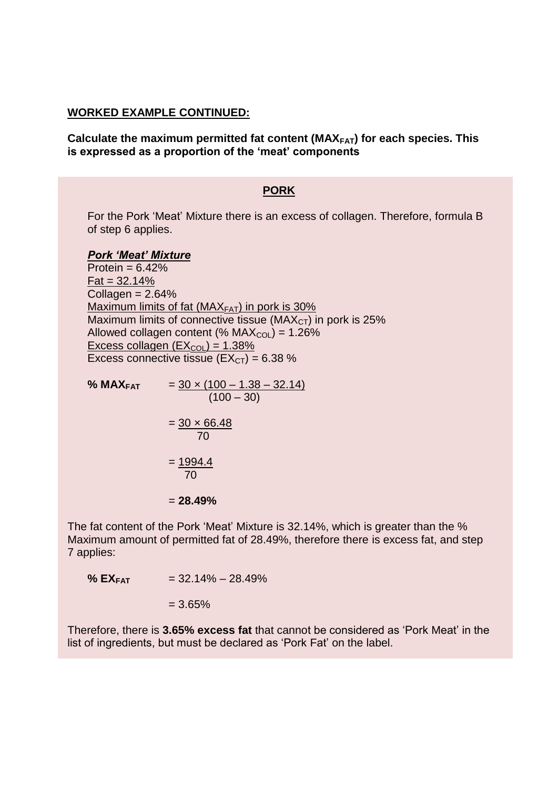#### **WORKED EXAMPLE CONTINUED:**

**Calculate the maximum permitted fat content (MAXFAT) for each species. This is expressed as a proportion of the 'meat' components**

## **PORK**

For the Pork 'Meat' Mixture there is an excess of collagen. Therefore, formula B of step 6 applies.

#### *Pork 'Meat' Mixture*

Protein  $= 6.42\%$  $Pat = 32.14%$  $Collagen = 2.64%$ Maximum limits of fat ( $MAX<sub>FAT</sub>$ ) in pork is 30% Maximum limits of connective tissue ( $MAX<sub>CT</sub>$ ) in pork is 25% Allowed collagen content (%  $MAX_{COL}$ ) = 1.26% Excess collagen  $(EX<sub>COI</sub>) = 1.38%$ Excess connective tissue  $(EX<sub>CT</sub>) = 6.38 %$ 

% MAX<sub>FAT</sub> = 
$$
\frac{30 \times (100 - 1.38 - 32.14)}{(100 - 30)}
$$
  
=  $\frac{30 \times 66.48}{70}$   
=  $\frac{1994.4}{70}$   
= 28.49%

The fat content of the Pork 'Meat' Mixture is 32.14%, which is greater than the % Maximum amount of permitted fat of 28.49%, therefore there is excess fat, and step 7 applies:

 $\%$  **EX**<sub>FAT</sub> = 32.14% – 28.49%

 $= 3.65%$ 

Therefore, there is **3.65% excess fat** that cannot be considered as 'Pork Meat' in the list of ingredients, but must be declared as 'Pork Fat' on the label.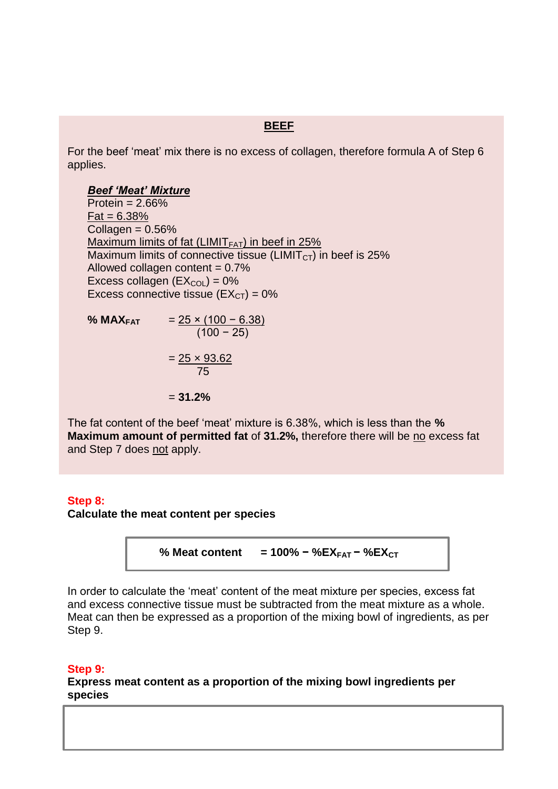For the beef 'meat' mix there is no excess of collagen, therefore formula A of Step 6 applies.

#### *Beef 'Meat' Mixture*

Protein  $= 2.66\%$  $Pat = 6.38%$ Collagen  $= 0.56\%$ Maximum limits of fat (LIMIT $_{FAT}$ ) in beef in 25% Maximum limits of connective tissue (LIMIT $_{\text{CT}}$ ) in beef is 25% Allowed collagen content  $= 0.7\%$ Excess collagen  $(EX_{COI}) = 0\%$ Excess connective tissue  $(EX<sub>CT</sub>) = 0%$ 

**% MAXFAT** = 25 × (100 − 6.38) (100 − 25)  $= 25 \times 93.62$ 75 - Paul Barnett, amerikansk <mark>75</mark> = **31.2%**

The fat content of the beef 'meat' mixture is 6.38%, which is less than the **% Maximum amount of permitted fat** of **31.2%,** therefore there will be no excess fat and Step 7 does not apply.

#### **Step 8:**

**Calculate the meat content per species**

% **Meat content** = 100% – %
$$
X_{\text{FAT}} -
$$
 % $EX_{\text{CT}}$ 

In order to calculate the 'meat' content of the meat mixture per species, excess fat and excess connective tissue must be subtracted from the meat mixture as a whole. Meat can then be expressed as a proportion of the mixing bowl of ingredients, as per Step 9.

#### **Step 9:**

**Express meat content as a proportion of the mixing bowl ingredients per species**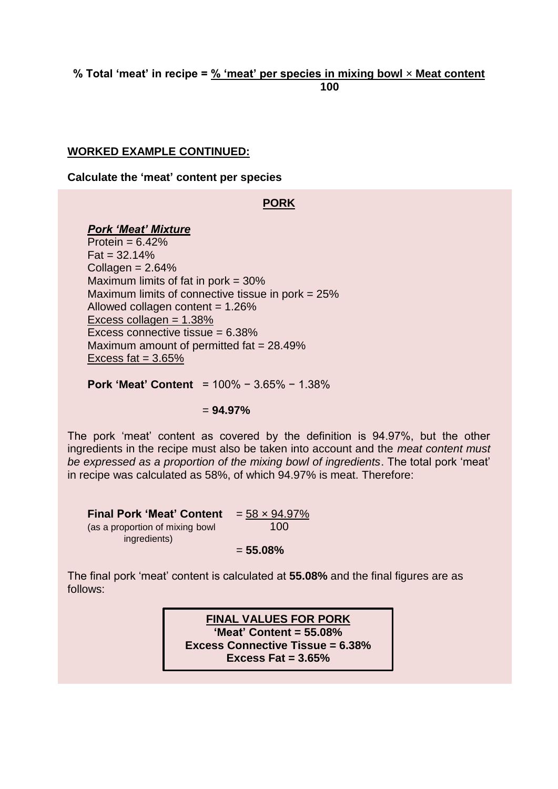#### **% Total 'meat' in recipe = % 'meat' per species in mixing bowl** × **Meat content 100**

## **WORKED EXAMPLE CONTINUED:**

**Calculate the 'meat' content per species**

## **PORK**

#### *Pork 'Meat' Mixture*

Protein  $= 6.42\%$  $Pat = 32.14%$  $Collagen =  $2.64\%$$ Maximum limits of fat in pork  $=$  30% Maximum limits of connective tissue in pork = 25% Allowed collagen content  $= 1.26\%$ Excess collagen = 1.38% Excess connective tissue = 6.38% Maximum amount of permitted fat = 28.49% Excess fat  $= 3.65\%$ 

**Pork 'Meat' Content** = 100% − 3.65% − 1.38%

## = **94.97%**

The pork 'meat' content as covered by the definition is 94.97%, but the other ingredients in the recipe must also be taken into account and the *meat content must be expressed as a proportion of the mixing bowl of ingredients*. The total pork 'meat' in recipe was calculated as 58%, of which 94.97% is meat. Therefore:

**Final Pork 'Meat' Content**  $= 58 \times 94.97\%$ (as a proportion of mixing bowl 100 ingredients) = **55.08%**

The final pork 'meat' content is calculated at **55.08%** and the final figures are as follows:

> **FINAL VALUES FOR PORK 'Meat' Content = 55.08% Excess Connective Tissue = 6.38% Excess Fat = 3.65%**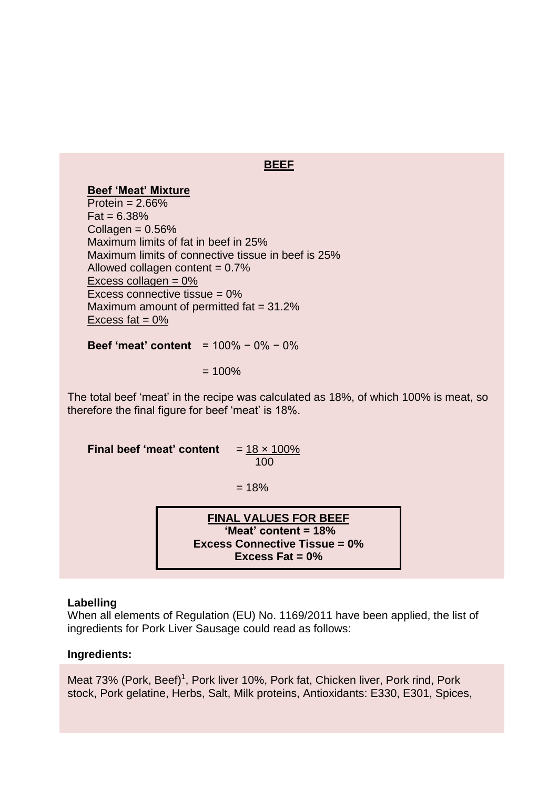# **Beef 'Meat' Mixture**

Protein  $= 2.66\%$  $Fat = 6.38%$ Collagen  $= 0.56\%$ Maximum limits of fat in beef in 25% Maximum limits of connective tissue in beef is 25% Allowed collagen content  $= 0.7\%$ Excess collagen = 0% Excess connective tissue = 0% Maximum amount of permitted fat = 31.2% Excess fat  $= 0\%$ 

**Beef 'meat' content** = 100% − 0% − 0%

#### $= 100\%$

The total beef 'meat' in the recipe was calculated as 18%, of which 100% is meat, so therefore the final figure for beef 'meat' is 18%.

**Final beef 'meat' content**  $= 18 \times 100\%$ 100 and 200 and 200 and 200 and 200 and 200

 $= 18%$ 

**FINAL VALUES FOR BEEF 'Meat' content = 18% Excess Connective Tissue = 0% Excess Fat = 0%**

#### **Labelling**

When all elements of Regulation (EU) No. 1169/2011 have been applied, the list of ingredients for Pork Liver Sausage could read as follows:

#### **Ingredients:**

Meat 73% (Pork, Beef)<sup>1</sup>, Pork liver 10%, Pork fat, Chicken liver, Pork rind, Pork stock, Pork gelatine, Herbs, Salt, Milk proteins, Antioxidants: E330, E301, Spices,